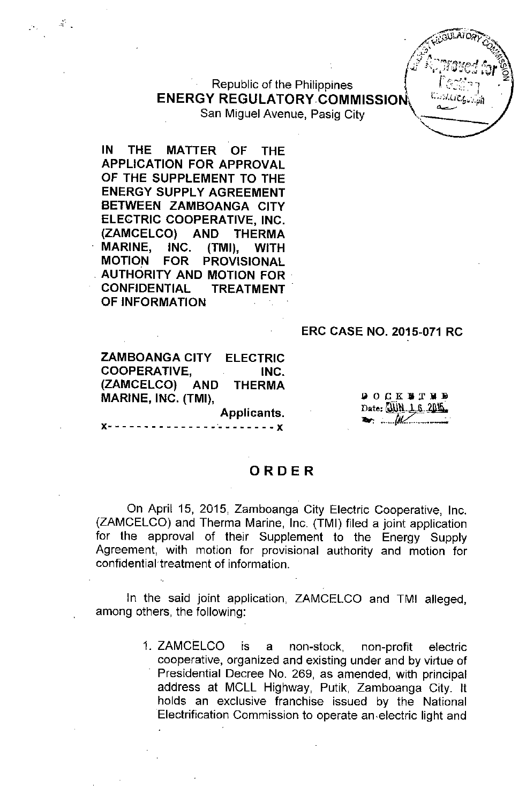**Republic of the Philippines** ENERGY REGULATORY COMMISSION\ San Miguel Avenue, Pasig City

IN THE MATTER OF THE APPLICATION FOR APPROVAL OF THE SUPPLEMENT TO THE ENERGY SUPPLY AGREEMENT BETWEEN ZAMBOANGA CITY ELECTRIC COOPERATIVE, INC. (ZAMCELCO) AND THERMA MARINE, INC. (TMI), WITH MOTION FOR PROVISIONAL . AUTHORITY AND MOTION FOR . CONFIDENTIAL TREATMENT OF INFORMATION

..,;',

#### ERC CASE NO. 2015-071 RC

ELECTRIC INC. THERMA ZAMBOANGA CITY COOPERATIVE, (ZAMCELCO) AND MARINE, INC. (TMI),

lilOCKliXlill Date: JUN 1.6.2015 --= :\_\_...*(JV'. ...\_.....-:.*

~\_.'-'"  $E_{\text{GUE}}$ **AROTALIGUES** - \ ""'tt" *;:;l...J '~;;;* <sup>r</sup> :/ .'~-~r<:'o;'~~ *..I* If' {fl (.;.; !", *<sup>J</sup> ;J '* ~,!3'-" *":'1r* 'C

 $\mu$  ,  $\sim$  ,  $\mu$  and  $\mu$  ,  $\mu$ 

(

## ORDER

Applicants.

 $- - - x$ 

On April 15, 2015, Zamboanga City Electric Cooperative, Inc. (ZAMCELCO) and Therma Marine, Inc. (TMI) filed a joint application for the approval of their Supplement to the Energy Supply Agreement, with motion for provisional authority and motion for confidential treatment of information.

In the said joint application, ZAMCELCO and TMI alleged, among others, the following:

> 1. ZAMCELCO is a non-stock, non-profit electric cooperative, organized and existing under and by virtue of Presidential Decree No. 269, as amended, with principal address at MCLL Highway, Putik, Zamboanga City. It holds an exclusive franchise issued by the National Electrification Commission to operate an.electric light and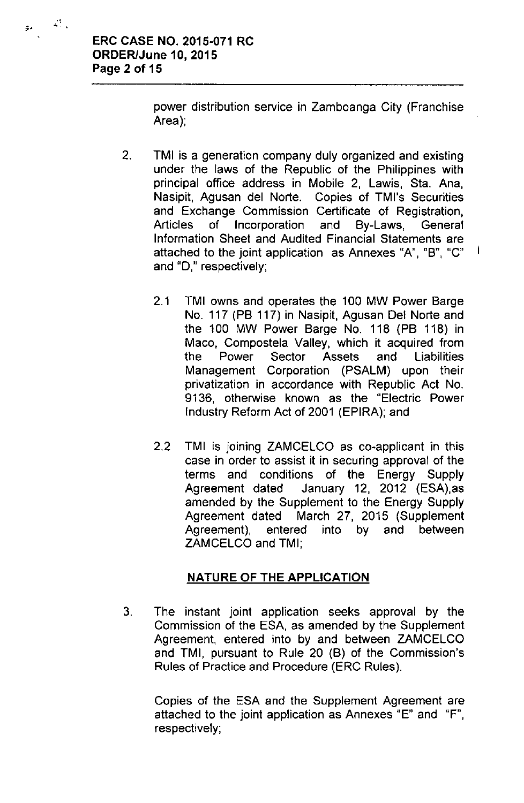.,

المستحق

power distribution service in Zamboanga City (Franchise Area);

- 2. TMI is a generation company duly organized and existing under the laws of the Republic of the Philippines with principal office address in Mobile 2, Lawis, Sta. Ana, Nasipit, Agusan del Norte. Copies of TMl's Securities and Exchange Commission Certificate of Registration, Articles of Incorporation and By-Laws, General Information Sheet and Audited Financial Statements are attached to the joint application as Annexes "A", "B", "C" and "0," respectively;
	- 2.1 TMI owns and operates the 100 MW Power Barge No. 117 (PB 117) in Nasipit, Agusan Del Norte and the 100 MW Power Barge No. 118 (PB 118) in Maco, Compostela Valley, which it acquired from the Power Sector Assets and Liabilities Management Corporation (PSALM) upon their privatization in accordance with Republic Act No. 9136, otherwise known as the "Electric Power Industry Reform Act of 2001 (EPIRA); and

Ť

2.2 TMI is joining ZAMCELCO as co-applicant in this case in order to assist it in securing approval of the terms and conditions of the Energy Supply Agreement dated January 12, 2012 (ESA),as amended by the Supplement to the Energy Supply Agreement dated March 27, 2015 (Supplement Agreement), entered into by and between ZAMCELCO and TMI;

## NATURE OF THE APPLICATION

3. The instant joint application seeks approval by the Commission of the ESA, as amended by the Supplement Agreement, entered into by and between ZAMCELCO and TMI, pursuant to Rule 20 (B) of the Commission's Rules of Practice and Procedure (ERC Rules).

Copies of the ESA and the Supplement Agreement are attached to the joint application as Annexes "E" and "F", respectively;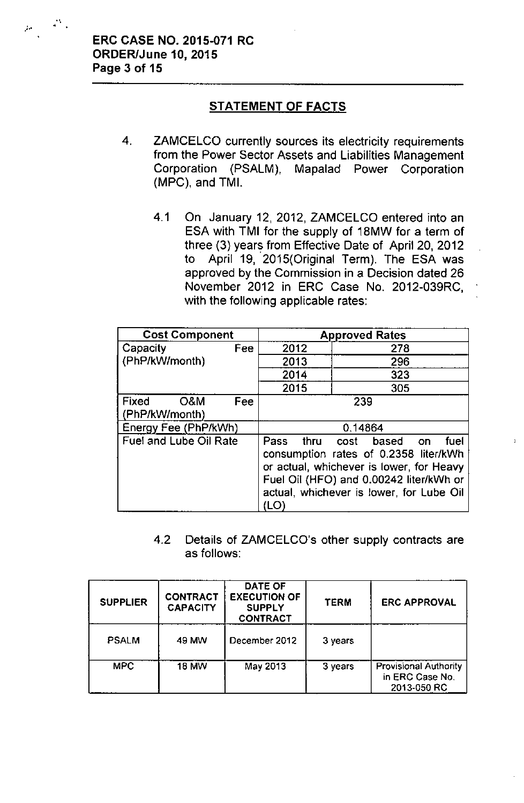$\mu_{\rm{eff}}=45\%$ 

# STATEMENT OF FACTS

- 4. ZAMCELCO currently sources its electricity requirements from the Power Sector Assets and Liabilities Management Corporation (PSALM), Mapalad Power Corporation (MPC), and TMI.
	- 4.1 On January 12, 2012, ZAMCELCO entered into an ESA with TMI for the supply of 18MW for a term of three (3) years from Effective Date of April 20, 2012 to April 19, 2015(Original Term). The ESA was approved by the Commission in a Decision dated 26 November 2012 in ERC Case No. 2012-039RC, with the following applicable rates:

| <b>Cost Component</b>                 | <b>Approved Rates</b>                                                                                                                                                                                                        |     |  |  |
|---------------------------------------|------------------------------------------------------------------------------------------------------------------------------------------------------------------------------------------------------------------------------|-----|--|--|
| Capacity<br>Fee                       | 2012                                                                                                                                                                                                                         | 278 |  |  |
| (PhP/kW/month)                        | 2013                                                                                                                                                                                                                         | 296 |  |  |
|                                       | 2014                                                                                                                                                                                                                         | 323 |  |  |
|                                       | 2015                                                                                                                                                                                                                         | 305 |  |  |
| Fixed<br>O&M<br>Fee<br>(PhP/kW/month) | 239                                                                                                                                                                                                                          |     |  |  |
|                                       |                                                                                                                                                                                                                              |     |  |  |
| Energy Fee (PhP/kWh)                  | 0.14864                                                                                                                                                                                                                      |     |  |  |
| <b>Fuel and Lube Oil Rate</b>         | thru<br>Pass<br>cost based<br>fuel<br>on.<br>consumption rates of 0.2358 liter/kWh<br>or actual, whichever is lower, for Heavy<br>Fuel Oil (HFO) and 0.00242 liter/kWh or<br>actual, whichever is lower, for Lube Oil<br>'LO |     |  |  |

4.2 Details of ZAMCELCO's other supply contracts are as follows:

| <b>SUPPLIER</b> | <b>CONTRACT</b><br><b>CAPACITY</b> | DATE OF<br><b>EXECUTION OF</b><br><b>SUPPLY</b><br><b>CONTRACT</b> | <b>TERM</b> | <b>ERC APPROVAL</b>                                            |
|-----------------|------------------------------------|--------------------------------------------------------------------|-------------|----------------------------------------------------------------|
| <b>PSALM</b>    | 49 MW                              | December 2012                                                      | 3 years     |                                                                |
| <b>MPC</b>      | <b>18 MW</b>                       | May 2013                                                           | 3 years     | <b>Provisional Authority</b><br>in ERC Case No.<br>2013-050 RC |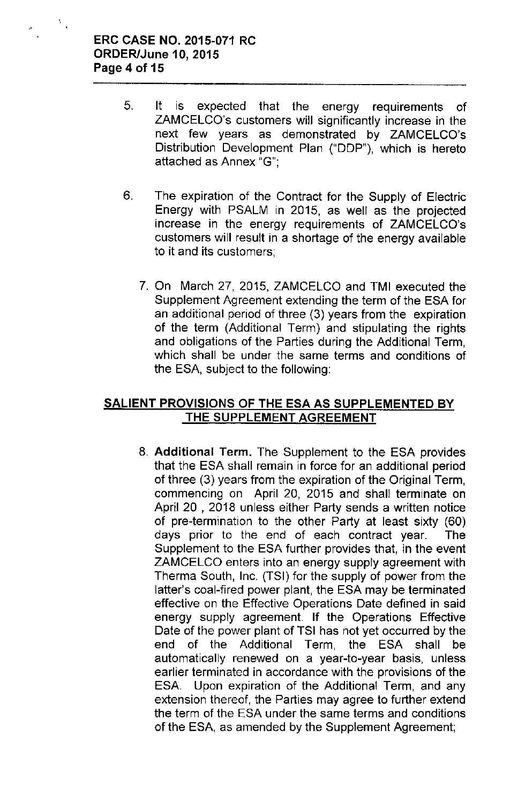$\Sigma_{\rm{in}}$ 

- 5. It is expected that the energy requirements of ZAMCELCO's customers will significantly increase **in** the next few years as demonstrated by ZAMCELCO's Distribution Development Plan ("DDP"), which is hereto attached as Annex "G";
- 6. The expiration of the Contract for the Supply of Electric Energy with PSALM in 2015, as well as the projected increase in the energy requirements of ZAMCELCO's customers will result in a shortage of the energy available to it and its customers;
	- 7. On March 27, 2015, ZAMCELCO and TMI executed the Supplement Agreement extending the term of the ESA for an additional period of three (3) years from the expiration of the term (Additional Term) and stipulating the rights and obligations of the Parties during the Additional Term, which shall be under the same terms and conditions of the ESA, subject to the following:

## **SALIENT PROVISIONS OF THE ESA AS SUPPLEMENTED BY THE SUPPLEMENT AGREEMENT**

8. **Additional** Term. The Supplement to the ESA provides that the ESA shall remain in force for an additional period of three (3) years from the expiration of the Original Term, commencing on April 20, 2015 and shall terminate on April 20 , 2018 unless either Party sends a written notice of pre-termination to the other Party at least sixty (60) days prior to the end of each contract year. The Supplement to the ESA further provides that, in the event ZAMCELCO enters into an energy supply agreement with Therma South, Inc. (TSI) for the supply of power from the latter's coal-fired power plant, the ESA may be terminated effective on the Effective Operations Date defined in said energy supply agreement. If the Operations Effective Date of the power plant of TSI has not yet occurred by the end of the Additional Term, the ESA shall be automatically renewed on a year-to-year basis, unless earlier terminated in accordance with the provisions of the ESA. Upon expiration of the Additional Term, and any extension thereof, the Parties may agree to further extend the term of the ESA under the same terms and conditions of the ESA, as amended by the Supplement Agreement;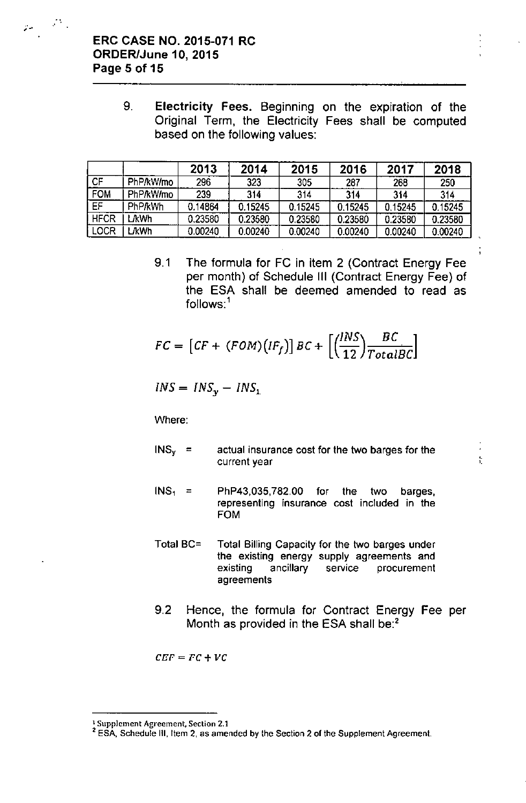$p_{\rm c} = \sigma_{\rm c}$ 

9. Electricity Fees. Beginning on the expiration of the Original Term, the Electricity Fees shall be computed based on the following values:

|             |                | 2013    | 2014    | 2015    | 2016    | 2017    | 2018    |
|-------------|----------------|---------|---------|---------|---------|---------|---------|
| СF          | PhP/kW/mo      | 296     | 323     | 305     | 287     | 268     | 250     |
| <b>FOM</b>  | PhP/kW/mo      | 239     | 314     | 314     | 314     | 314     | 314     |
| EF          | <b>PhP/kWh</b> | 0.14864 | 0.15245 | 0.15245 | 0.15245 | 0.15245 | 0.15245 |
| <b>HFCR</b> | <b>AWh</b>     | 0.23580 | 0.23580 | 0.23580 | 0.23580 | 0.23580 | 0.23580 |
| LOCR        | <b>JkWh</b>    | 0.00240 | 0.00240 | 0.00240 | 0.00240 | 0.00240 | 0.00240 |

9.1 The formula for FC in item 2 (Contract Energy Fee per month) of Schedule III (Contract Energy Fee) of the ESA shall be deemed amended to read as follows:<sup>1</sup>

$$
FC = [CF + (FOM)(IF_f)] BC + \left[ \left( \frac{INS}{12} \right) \frac{BC}{TotalBC} \right]
$$

$$
INS = INS_y - INS_x
$$

Where:

 $INS<sub>v</sub>$  = actual insurance cost for the two barges for the current year

,. '.

- $INS<sub>1</sub> = PhP43.035.782.00$  for the two barges, representing insurance cost included in the FOM
- Total BC= Total Billing Capacity for the two barges under the existing energy supply agreements and existing ancillary service procurement agreements
- 9.2 Hence, the formula for Contract Energy Fee per Month as provided in the ESA shall be:<sup>2</sup>

 $CEF = FC + VC$ 

<sup>1</sup>Supplement Agreement. Section 2.1

<sup>&</sup>lt;sup>2</sup> ESA, Schedule III, Item 2, as amended by the Section 2 of the Supplement Agreement.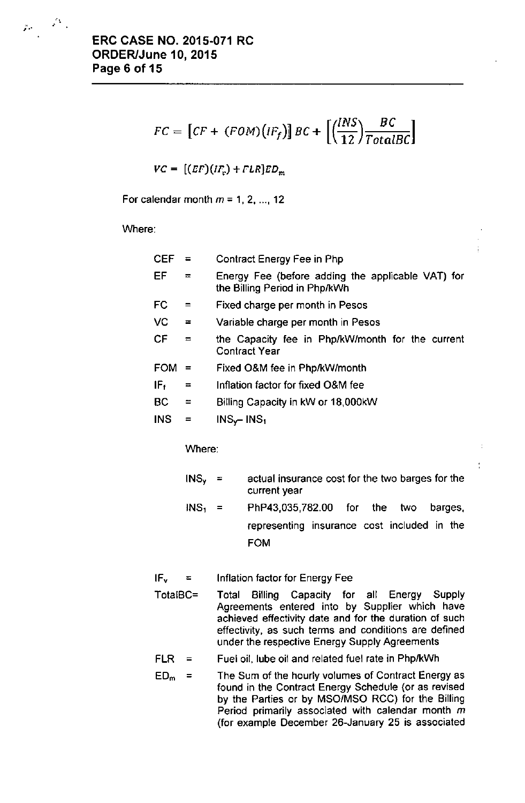$$
FC = [CF + (FOM)(IF_f)] BC + \left[ \left( \frac{INS}{12} \right) \frac{BC}{TotalBC} \right]
$$

 $VC = [(EF)(IF<sub>e</sub>) + FLR]ED<sub>m</sub>$ 

For calendar month  $m = 1, 2, ..., 12$ 

Where:

| <b>CEF</b>      |          | Contract Energy Fee in Php                                                         |  |  |
|-----------------|----------|------------------------------------------------------------------------------------|--|--|
| EF              | $=$      | Energy Fee (before adding the applicable VAT) for<br>the Billing Period in Php/kWh |  |  |
| FC              |          | Fixed charge per month in Pesos                                                    |  |  |
| VC.             | $\equiv$ | Variable charge per month in Pesos                                                 |  |  |
| СF              | $\equiv$ | the Capacity fee in Php/kW/month for the current<br><b>Contract Year</b>           |  |  |
| <b>FOM</b>      | $\equiv$ | Fixed O&M fee in Php/kW/month                                                      |  |  |
| IF <sub>f</sub> | $\equiv$ | Inflation factor for fixed O&M fee                                                 |  |  |
| BC              | $\equiv$ | Billing Capacity in kW or 18,000kW                                                 |  |  |
| <b>INS</b>      | ᆖ        | $INS_{\mathbf{v}}$ - INS <sub>1</sub>                                              |  |  |

Where:

| $INS_{v}$ = | actual insurance cost for the two barges for the<br>current year |
|-------------|------------------------------------------------------------------|
| $INS_1 =$   | PhP43,035,782.00 for the two barges,                             |
|             | representing insurance cost included in the                      |

FOM

**IF<sup>v</sup> ::;;** Inflation factor for Energy Fee

TotalBC= Total Billing Capacity for all Energy Supply Agreements entered into by Supplier which have achieved effectivity date and for the duration of such effectivity, as such terms and conditions are defined under the respective Energy Supply Agreements

 $FLR =$ Fuel oil, lube oil and related fuel rate in PhplkWh

 $ED_m =$ The Sum of the hourly volumes of Contract Energy as found in the Contract Energy Schedule (or as revised by the Parlies or by MSOIMSO RCG) for the Billing Period primarily associated with calendar month  $m$ (for example December 26-January 25 is associated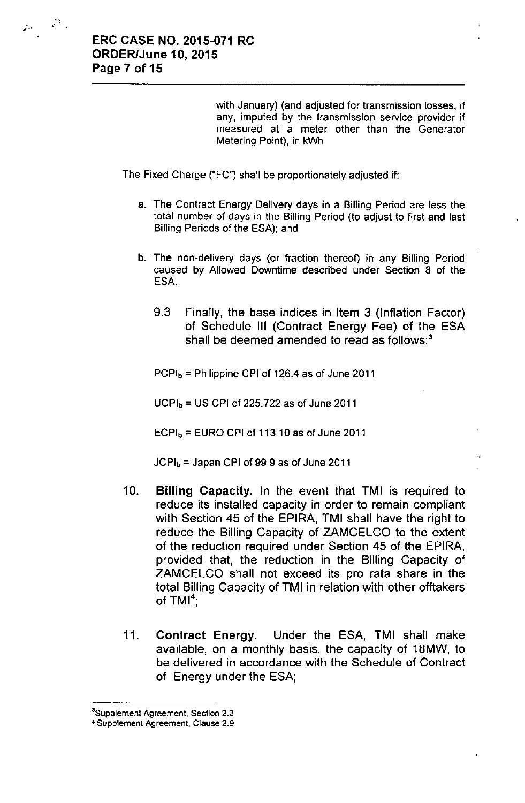$\mu \in \mathcal{P}_\lambda$ 

with January) (and adjusted for transmission losses, if **any, imputed by the transmission service provider if measured at a meter other than the Generator** Metering Point), in kWh

The Fixed Charge ("FC") shall be proportionately adjusted if:

- a. The Contract Energy Delivery days in a Billing Period are less the total number of days in the Billing Period (to adjust to first and last Billing Periods of the ESA); and
- b. The non-delivery days (or fraction thereof) in any Billing Period caused by Allowed Downtime described under Section 8 of the ESA.
	- 9.3 Finally, the base indices in Item 3 (Inflation Factor) of Schedule III (Contract Energy Fee) of the ESA shall be deemed amended to read as follows:<sup>3</sup>

 $PCPI<sub>b</sub>$  = Philippine CPI of 126.4 as of June 2011

 $UCPI<sub>b</sub> = US CPU of 225.722 as of June 2011$ 

 $ECPI<sub>b</sub> = EURO CPI of 113.10 as of June 2011$ 

 $JCPI_b =$  Japan CPI of 99.9 as of June 2011

- 10. Billing Capacity. In the event that TMI is required to reduce its installed capacity in order to remain compliant with Section 45 of the EPIRA, TMI shall have the right to reduce the Billing Capacity of ZAMCELCO to the extent of the reduction required under Section 45 of the EPIRA, provided that, the reduction in the Billing Capacity of ZAMCELCO shall not exceed its pro rata share in the total Billing Capacity of TMI in relation with other offtakers of  $TMI<sup>4</sup>$ ;
- 11, Contract Energy, Under the ESA, TMI shall make available, on a monthly basis, the capacity of 18MW, to be delivered in accordance with the Schedule of Contract of Energy under the ESA;

**<sup>3</sup>Supplement Agreement, Section** 2.3.

**<sup>4</sup> Supplement Agreement, Clause** 2.9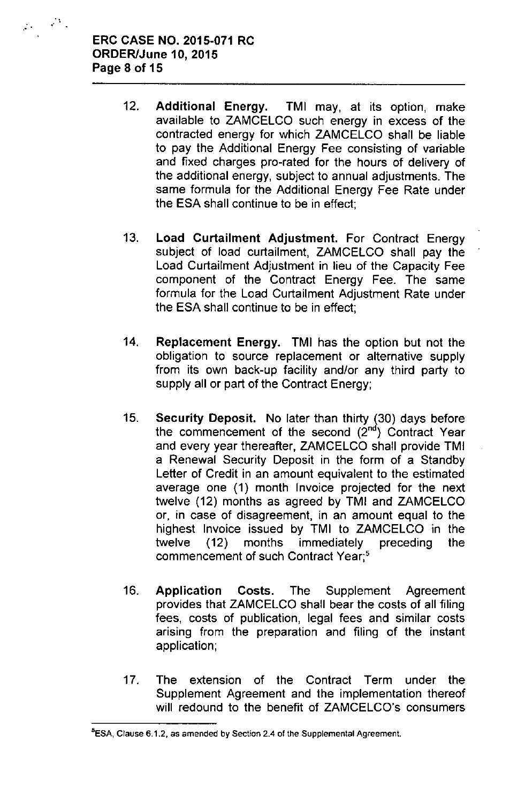$\varphi_{\rm s} \in \mathbb{R}^{N_{\rm s}}$ 

- 12, Additional Energy. TMI may, at its option, make available to ZAMCELCO such energy in excess of the contracted energy for which ZAMCELCO shall be liable to pay the Additional Energy Fee consisting of variable and fixed charges pro-rated for the hours of delivery of the additional energy, subject to annual adjustments. The same formula for the Additional Energy Fee Rate under the ESA shall continue to be in effect;
- 13, Load Curtailment Adjustment. For Contract Energy subject of load curtailment, ZAMCELCO shall pay the Load Curtailment Adjustment in lieu of the Capacity Fee component of the Contract Energy Fee. The same formula for the Load Curtailment Adjustment Rate under the ESA shall continue to be in effect;
- 14, Replacement Energy. TMI has the option but not the obligation to source replacement or alternative supply from its own back-up facility and/or any third party to supply all or part of the Contract Energy;
- 15, Security Deposit. No later than thirty (30) days before the commencement of the second  $(2<sup>nd</sup>)$  Contract Year and every year thereafter, ZAMCELCO shall provide TMI a Renewal Security Deposit in the form of a Standby Letter of Credit in an amount equivalent to the estimated average one (1) month Invoice projected for the next twelve (12) months as agreed by TMI and ZAMCELCO or, in case of disagreement, in an amount equal to the highest Invoice issued by TMI to ZAMCELCO in the twelve (12) months immediately preceding the commencement of such Contract Year;'
- 16. Application Costs. The Supplement Agreement provides that ZAMCELCO shall bear the costs of all filing fees, costs of publication, legal fees and similar costs arising from the preparation and filing of the instant application;
- 17, The extension of the Contract Term under the Supplement Agreement and the implementation thereof will redound to the benefit of ZAMCELCO's consumers

**<sup>5</sup>ESA, Clause** 6.1.2, **as amended by Section 2.4 of the Supplemental Agreement.**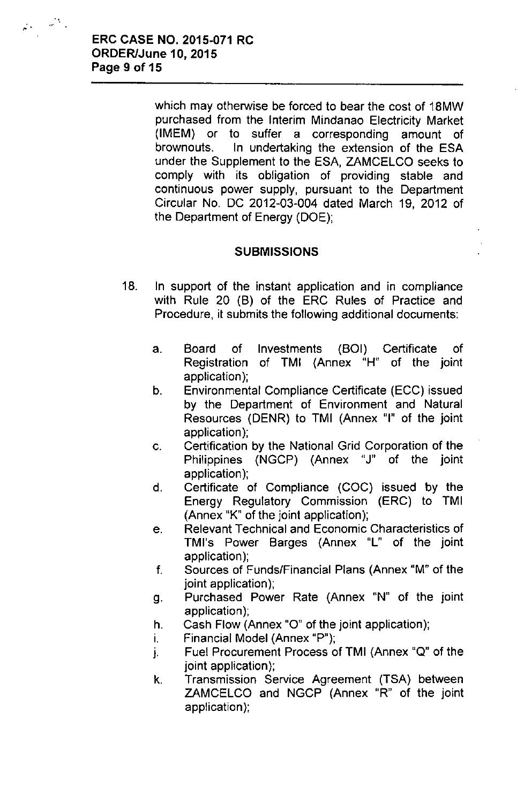$\varphi_{\lambda}=\varphi_{\lambda}^{\lambda}$  .

which may otherwise be forced to bear the cost of 18MW purchased from the Interim Mindanao Electricity Market (IMEM) or to suffer a corresponding amount of brownouts. In undertaking the extension of the ESA under the Supplement to the ESA, ZAMCELCO seeks to comply with its obligation of providing stable and continuous power supply, pursuant to the Department Circular No. DC 2012-03-004 dated March 19, 2012 of the Department of Energy (DOE);

### **SUBMISSIONS**

- 18. In support of the instant application and in compliance with Rule 20 (B) of the ERC Rules of Practice and Procedure, it submits the following additional documents:
	- a. Board of Investments (BOI) Certificate of Registration of TMI (Annex "H" of the joint application);
	- b. Environmental Compliance Certificate (ECC) issued by the Department of Environment and Natural Resources (DENR) to TMI (Annex "I" of the joint application);
	- c. Certification by the National Grid Corporation of the Philippines (NGCP) (Annex "J" of the joint application);
	- d. Certificate of Compliance (COC) issued by the Energy Regulatory Commission (ERG) to TMI (Annex "K" of the joint application);
	- e. Relevant Technical and Economic Characteristics of TMl's Power Barges (Annex "L" of the joint application);
	- f. Sources of Funds/Financial Plans (Annex "M" of the joint application);
	- g. Purchased Power Rate (Annex "N" of the joint application);
	- h. Cash Flow (Annex "0" of the joint application);
	- i. Financial Model (Annex "P");
	- j. Fuel Procurement Process of TMI (Annex "Q" of the joint application);
	- k. Transmission Service Agreement (TSA) between ZAMCELCO and NGCP (Annex "R" of the joint application);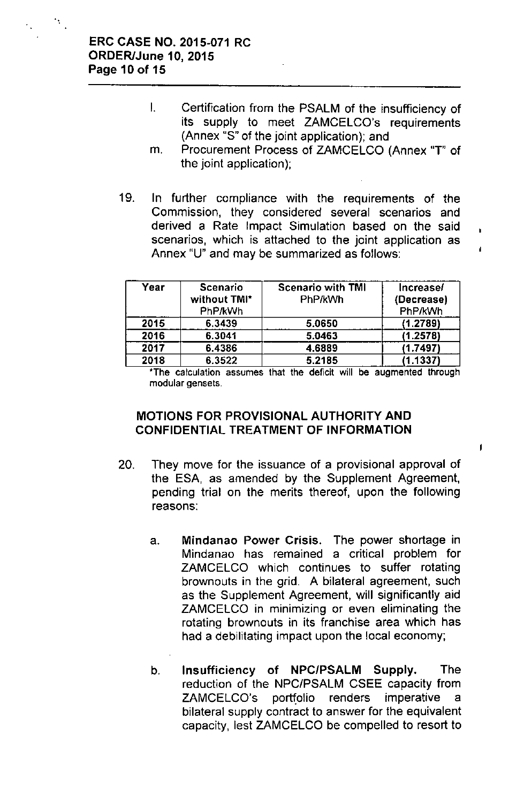#### ERC CASE NO. 2015-071 RC ORDER/June 10, 2015 Page 10 of 15

'.

- I. Certification from the PSALM of the insufficiency of its supply to meet ZAMCELCO's requirements (Annex "S" of the joint application); and
- m. Procurement Process of ZAMCELCO (Annex "T" of the joint application);
- 19. In further compliance with the requirements of the Commission, they considered several scenarios and derived a Rate Impact Simulation based on the said scenarios, which is attached to the joint application as Annex "U" and may be summarized as follows:

| Year | <b>Scenario</b><br>without TMI*<br>PhP/kWh | <b>Scenario with TMI</b><br>PhP/kWh | Increase/<br>(Decrease)<br>PhP/kWh |
|------|--------------------------------------------|-------------------------------------|------------------------------------|
| 2015 | 6.3439                                     | 5.0650                              | (1.2789)                           |
| 2016 | 6.3041                                     | 5.0463                              | (1.2578)                           |
| 2017 | 6.4386                                     | 4.6889                              | (1.7497)                           |
| 2018 | 6.3522                                     | 5.2185                              | (1.1337)                           |

\*The calculation assumes that the deficit will be augmented through modular gensets.

 $\mathbf{I}$ 

### MOTIONS FOR PROVISIONAL AUTHORITY AND CONFIDENTIAL TREATMENT OF INFORMATION

- 20. They move for the issuance of a provisional approval of the ESA, as amended by the Supplement Agreement, pending trial on the merits thereof, upon the following reasons:
	- a. Mindanao Power Crisis. The power shortage in Mindanao has remained a critical problem for ZAMCELCO which continues to suffer rotating brownouts in the grid. A bilateral agreement, such as the Supplement Agreement, will significantly aid ZAMCELCO in minimizing or even eliminating the rotating brownouts in its franchise area which has had a debilitating impact upon the local economy;
	- b. Insufficiency of NPCIPSALM Supply. The reduction of the NPC/PSALM CSEE capacity from ZAMCELCO's portfolio renders imperative a bilateral supply contract to answer for the equivalent capacity, lest ZAMCELCO be compelled to resort to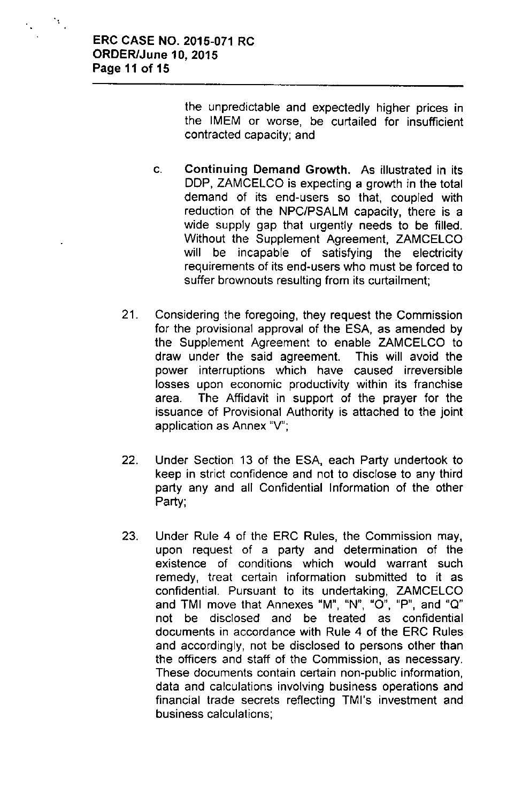the unpredictable and expectedly higher prices in the IMEM or worse, be curtailed for insufficient contracted capacity; and

- c. Continuing Demand Growth. As illustrated in its DDP, ZAMCELCO is expecting a growth in the total demand of its end-users so that, coupled with reduction of the NPC/PSALM capacity, there is a wide supply gap that urgently needs to be filled. Without the Supplement Agreement, ZAMCELCO will be incapable of satisfying the electricity requirements of its end-users who must be forced to suffer brownouts resulting from its curtailment;
- 21. Considering the foregoing, they request the Commission for the provisional approval of the ESA, as amended by the Supplement Agreement to enable ZAMCELCO to draw under the said agreement. This will avoid the power interruptions which have caused irreversible losses upon economic productivity within its franchise area. The Affidavit in support of the prayer for the issuance of Provisional Authority is attached to the joint application as Annex "V";
- 22. Under Section 13 of the ESA, each Party undertook to keep in strict confidence and not to disclose to any third party any and all Confidential Information of the other Party;
- 23. Under Rule 4 of the ERC Rules, the Commission may, upon request of a party and determination of the existence of conditions which would warrant such remedy, treat certain information submitted to it as confidential. Pursuant to its undertaking, ZAMCELCO **and TMI move that Annexes "M"**, **"N"**, **"0"**, **"P"**I **and "Q"** not be disclosed and be treated as confidential documents in accordance with Rule 4 of the ERC Rules and accordingly, not be disclosed to persons other than the officers and staff of the Commission, as necessary. These documents contain certain non-public information, data and calculations involving business operations and financial trade secrets reflecting TMI's investment and business calculations;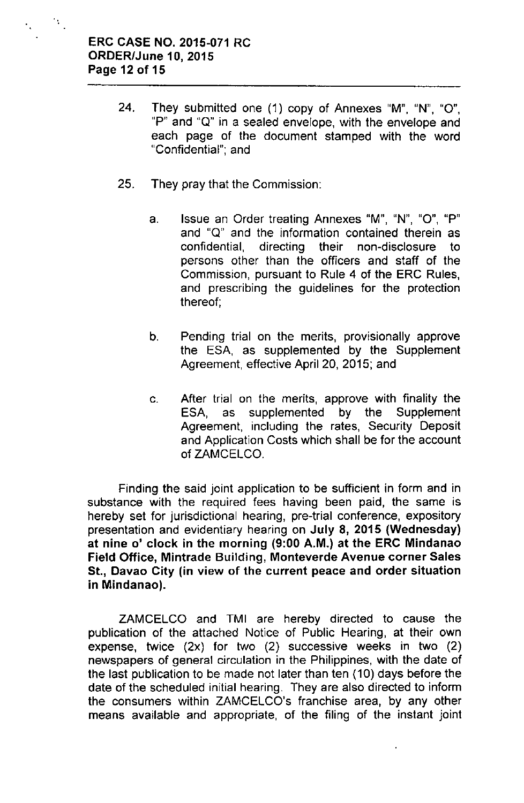$\mathcal{N}_\mathrm{c}$ 

- 24. They submitted one (1) copy of Annexes "M", "N", "0", "P" and "Q" in a sealed envelope, with the envelope and each page of the document stamped with the word "Confidential'", and
- 25. They pray that the Commission:
	- a. **Issue an Order treating Annexes "Mil** , **"N"**, **"0"**, **uP"** and "Q" and the information contained therein as confidential, directing their non-disclosure to persons other than the officers and staff of the Commission, pursuant to Rule 4 of the ERC Rules, and prescribing the guidelines for the protection thereof;
	- b. Pending trial on the merits, provisionally approve the ESA, as supplemented by the Supplement Agreement, effective April 20, 2015; and
	- c. After trial on the merits, approve with finality the ESA, as supplemented by the Supplement Agreement, including the rates, Security Deposit and Application Costs which shall be for the account of ZAMCELCO.

Finding the said joint application to be sufficient in form and in substance with the required fees having been paid, the same is hereby set for jurisdictional hearing, pre-trial conference, expository presentation and evidentiary hearing on July 8, 2015 (Wednesday) at nine 0' clock in the morning (9:00 A.M.) at the ERC Mindanao Field Office, Mintrade Building, Monteverde Avenue corner Sales St., Davao City (in view of the current peace and order situation in Mindanao).

ZAMCELCO and TMI are hereby directed to cause the publication of the attached Notice of Public Hearing, at their own expense, twice (2x) for two (2) successive weeks in two (2) newspapers of general circulation in the Philippines, with the date of the last publication to be made not later than ten (10) days before the date of the scheduled initial hearing. They are also directed to inform the consumers within ZAMCELCO's franchise area, by any other means available and appropriate, of the filing of the instant joint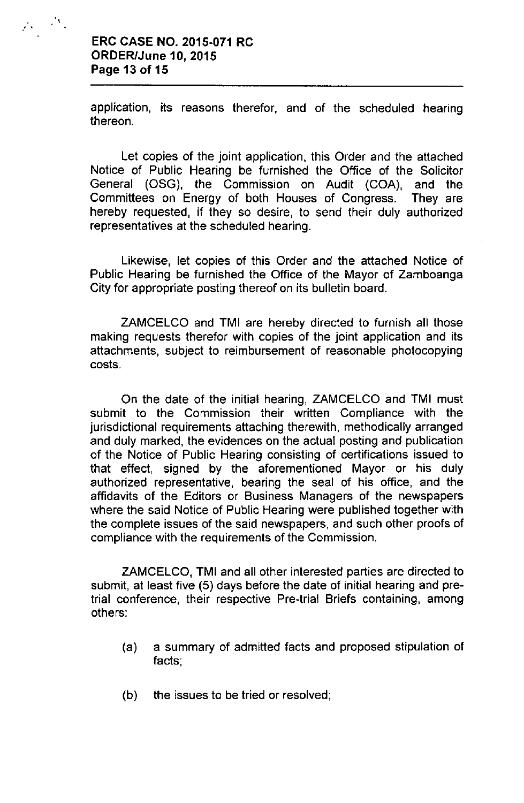### ERC CASE NO. 2015-071 RC ORDER/June 10, 2015 Page 13 of 15

 $\mathcal{G}_{\mathcal{S}}=\mathcal{F}_{\mathcal{S}}^{\mathcal{S}}$  ,

application, its reasons therefor, and of the scheduled hearing thereon.

Let copies of the joint application, this Order and the attached Notice of Public Hearing be furnished the Office of the Solicitor General (OSG), the Commission on Audit (COA), and the Committees on Energy of both Houses of Congress. They are hereby requested, if they so desire, to send their duly authorized representatives at the scheduled hearing.

Likewise, let copies of this Order and the attached Notice of Public Hearing be furnished the Office of the Mayor of Zamboanga City for appropriate posting thereof on its bulletin board.

ZAMCElCO and TMI are hereby directed to furnish all those making requests therefor with copies of the joint application and its attachments, subject to reimbursement of reasonable photocopying costs.

On the date of the initial hearing, ZAMCElCO and TMI must submit to the Commission their written Compliance with the jurisdictional requirements attaching therewith, methodically arranged and duly marked, the evidences on the actual posting and publication of the Notice of Public Hearing consisting of certifications issued to that effect, signed by the aforementioned Mayor or his duly authorized representative, bearing the seal of his office, and the affidavits of the Editors or Business Managers of the newspapers where the said Notice of Public Hearing were published together with the complete issues of the said newspapers, and such other proofs of compliance with the requirements of the Commission.

ZAMCElCO, TMI and all other interested parties are directed to submit, at least five (5) days before the date of initial hearing and pretrial conference, their respective Pre-trial Briefs containing, among others:

- (a) a summary of admitted facts and proposed stipulation of facts;
- (b) the issues to be tried or resolved;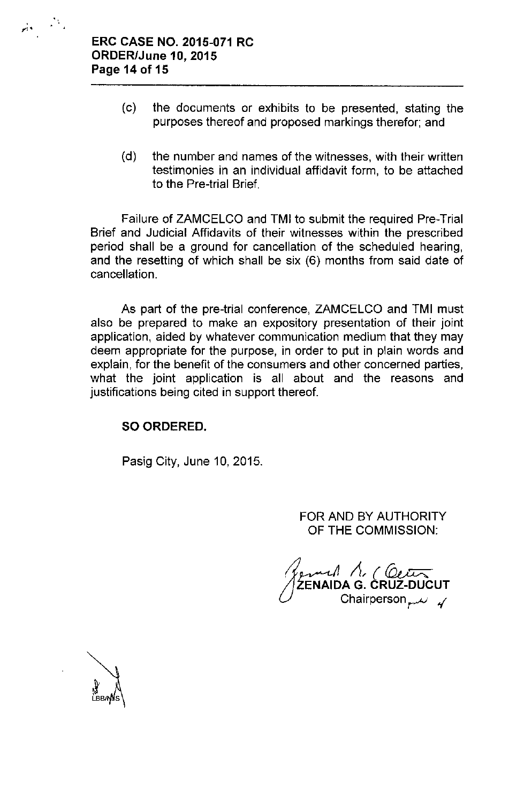

 $\mathcal{A}_{\mathcal{A}}$ 

- (c) the documents or exhibits to be presented, stating the purposes thereof and proposed markings therefor; and
- (d) the number and names of the witnesses, with their written testimonies in an individual affidavit form, to be attached to the Pre-trial Brief.

Failure of ZAMCELCO and TMI to submit the required Pre-Trial Brief and Judicial Affidavits of their witnesses within the prescribed period shall be a ground for cancellation of the scheduled hearing, and the resetting of which shall be six (6) months from said date of cancellation.

As part of the pre-trial conference, ZAMCELCO and TMI must also be prepared to make an expository presentation of their joint application, aided by whatever communication medium that they may deem appropriate for the purpose, in order to put in plain words and explain, for the benefit of the consumers and other concerned parties, what the joint application is all about and the reasons and justifications being cited in support thereof.

### SO ORDERED.

Pasig City, June 10, 2015.

FOR AND BY AUTHORITY OF THE COMMISSION:

*~ ~~ It{~* ZENAIDA G. CRUZ-DUCU<sup>.</sup> Chairperson  $\mu$  4